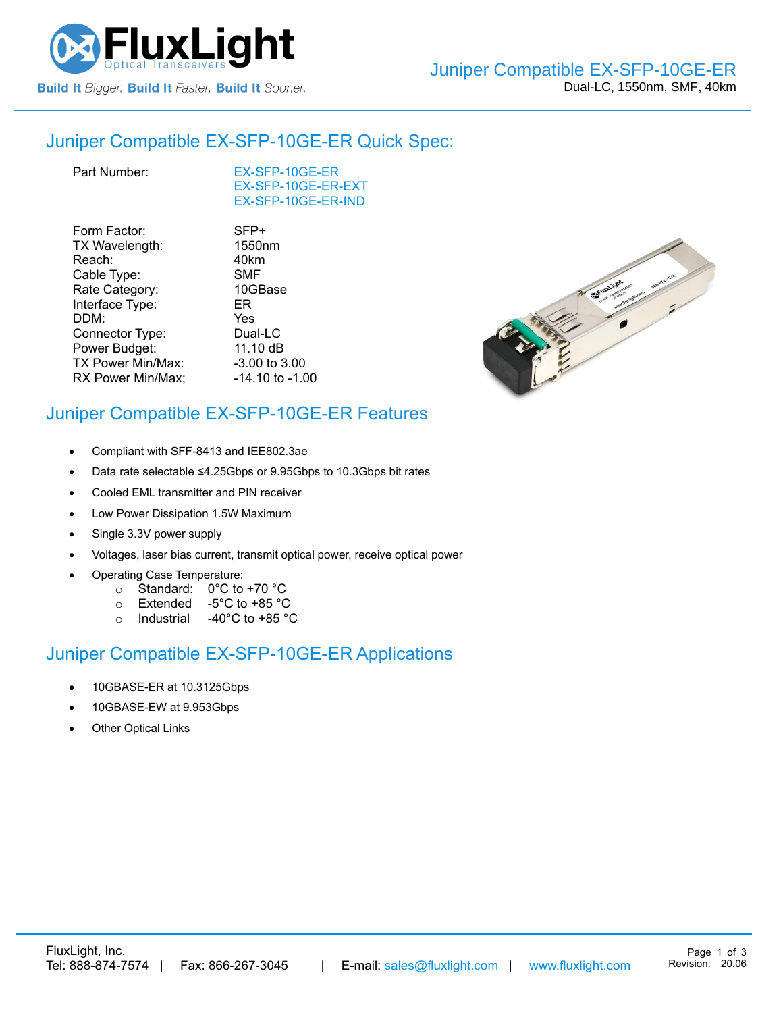

## Juniper Compatible [EX-SFP-10GE-ER](https://www.fluxlight.com/ex-sfp-10ge-er/) Quick Spec:

[EX-SFP-10GE-ER](https://www.fluxlight.com/ex-sfp-10ge-er/) [EX-SFP-10GE-ER-](https://www.fluxlight.com/ex-sfp-10ge-er/)EXT [EX-SFP-10GE-ER-](https://www.fluxlight.com/ex-sfp-10ge-er/)IND

| Form Factor:      | SFP+                |
|-------------------|---------------------|
| TX Wavelength:    | 1550nm              |
| Reach:            | 40km                |
| Cable Type:       | <b>SMF</b>          |
| Rate Category:    | 10GBase             |
| Interface Type:   | ER                  |
| DDM:              | Yes                 |
| Connector Type:   | Dual-LC             |
| Power Budget:     | 11.10 dB            |
| TX Power Min/Max: | -3.00 to 3.00       |
| RX Power Min/Max; | $-14.10$ to $-1.00$ |



# Juniper Compatible [EX-SFP-10GE-ER](https://www.fluxlight.com/ex-sfp-10ge-er/) Features

- Compliant with SFF-8413 and IEE802.3ae
- Data rate selectable ≤4.25Gbps or 9.95Gbps to 10.3Gbps bit rates
- Cooled EML transmitter and PIN receiver
- Low Power Dissipation 1.5W Maximum
- Single 3.3V power supply
- Voltages, laser bias current, transmit optical power, receive optical power
- Operating Case Temperature:
	- o Standard: 0°C to +70 °C
	- o Extended -5°C to +85 °C
	- o Industrial -40°C to +85 °C

## Juniper Compatible [EX-SFP-10GE-ER](https://www.fluxlight.com/ex-sfp-10ge-er/) Applications

- 10GBASE-ER at 10.3125Gbps
- 10GBASE-EW at 9.953Gbps
- **Other Optical Links**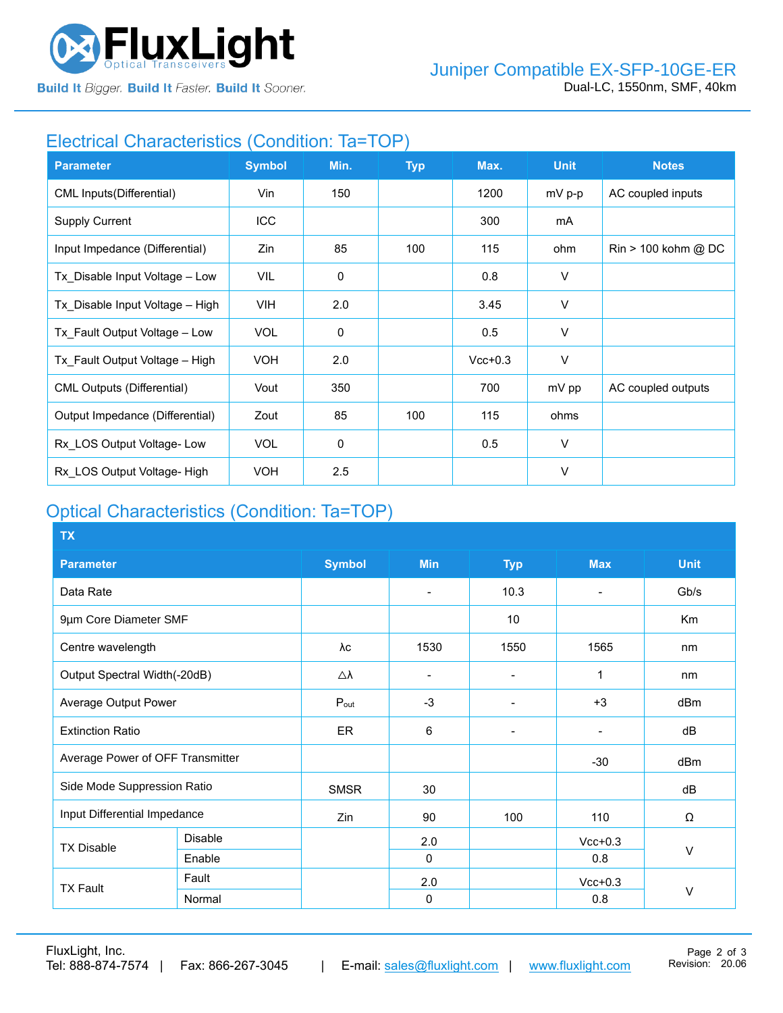

**Build It Bigger. Build It Faster. Build It Sooner.** 

## Electrical Characteristics (Condition: Ta=TOP)

| <b>Parameter</b>                  | <b>Symbol</b> | Min.        | <b>Typ</b> | Max.      | <b>Unit</b> | <b>Notes</b>                          |
|-----------------------------------|---------------|-------------|------------|-----------|-------------|---------------------------------------|
| <b>CML Inputs(Differential)</b>   | Vin           | 150         |            | 1200      | mV p-p      | AC coupled inputs                     |
| <b>Supply Current</b>             | ICC           |             |            | 300       | mA          |                                       |
| Input Impedance (Differential)    | Zin           | 85          | 100        | 115       | ohm         | $\text{Rin} > 100 \text{ kohm } @$ DC |
| Tx_Disable Input Voltage - Low    | VIL           | $\mathbf 0$ |            | 0.8       | V           |                                       |
| Tx Disable Input Voltage - High   | VIH.          | 2.0         |            | 3.45      | V           |                                       |
| Tx Fault Output Voltage - Low     | <b>VOL</b>    | $\mathbf 0$ |            | 0.5       | $\vee$      |                                       |
| Tx Fault Output Voltage - High    | <b>VOH</b>    | 2.0         |            | $Vcc+0.3$ | V           |                                       |
| <b>CML Outputs (Differential)</b> | Vout          | 350         |            | 700       | mV pp       | AC coupled outputs                    |
| Output Impedance (Differential)   | Zout          | 85          | 100        | 115       | ohms        |                                       |
| Rx LOS Output Voltage-Low         | <b>VOL</b>    | 0           |            | 0.5       | $\vee$      |                                       |
| Rx LOS Output Voltage- High       | <b>VOH</b>    | 2.5         |            |           | $\vee$      |                                       |

# Optical Characteristics (Condition: Ta=TOP)

| <b>TX</b>                        |                |                     |                          |                          |                |             |  |
|----------------------------------|----------------|---------------------|--------------------------|--------------------------|----------------|-------------|--|
| <b>Parameter</b>                 |                | <b>Symbol</b>       | <b>Min</b>               | <b>Typ</b>               | <b>Max</b>     | <b>Unit</b> |  |
| Data Rate                        |                |                     | $\overline{\phantom{0}}$ | 10.3                     |                | Gb/s        |  |
| 9µm Core Diameter SMF            |                |                     |                          | 10 <sup>°</sup>          |                | Km          |  |
| Centre wavelength                |                | λc                  | 1530                     | 1550                     | 1565           | nm          |  |
| Output Spectral Width(-20dB)     |                | $\triangle \lambda$ |                          |                          | 1              | nm          |  |
| Average Output Power             |                | $P_{\text{out}}$    | $-3$                     | $\blacksquare$           | $+3$           | dBm         |  |
| <b>Extinction Ratio</b>          |                | ER                  | 6                        | $\overline{\phantom{0}}$ | $\blacksquare$ | dB          |  |
| Average Power of OFF Transmitter |                |                     |                          |                          | $-30$          | dBm         |  |
| Side Mode Suppression Ratio      |                | <b>SMSR</b>         | 30                       |                          |                | dB          |  |
| Input Differential Impedance     |                | Zin                 | 90                       | 100                      | 110            | Ω           |  |
| <b>TX Disable</b>                | <b>Disable</b> |                     | 2.0                      |                          | $Vcc+0.3$      |             |  |
|                                  | Enable         |                     | $\Omega$                 |                          | 0.8            | V           |  |
| <b>TX Fault</b>                  | Fault          |                     | 2.0                      |                          | $Vcc+0.3$      |             |  |
|                                  | Normal         |                     | $\mathbf 0$              |                          | 0.8            | $\vee$      |  |